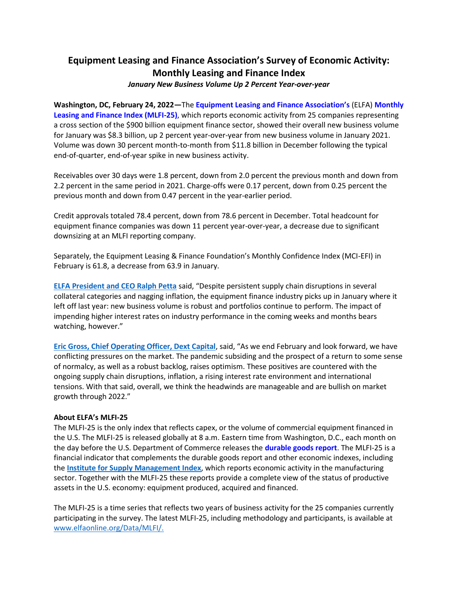# **Equipment Leasing and Finance Association's Survey of Economic Activity: Monthly Leasing and Finance Index**

## *January New Business Volume Up 2 Percent Year-over-year*

**Washington, DC, February 24, 2022—**The **[Equipment Leasing and Finance As](http://www.elfaonline.org/)sociation's** (ELFA) **[Monthly](http://www.elfaonline.org/Data/MLFI/)  [Leasing and Finance Index \(MLFI-25\)](http://www.elfaonline.org/Data/MLFI/)**, which reports economic activity from 25 companies representing a cross section of the \$900 billion equipment finance sector, showed their overall new business volume for January was \$8.3 billion, up 2 percent year-over-year from new business volume in January 2021. Volume was down 30 percent month-to-month from \$11.8 billion in December following the typical end-of-quarter, end-of-year spike in new business activity.

Receivables over 30 days were 1.8 percent, down from 2.0 percent the previous month and down from 2.2 percent in the same period in 2021. Charge-offs were 0.17 percent, down from 0.25 percent the previous month and down from 0.47 percent in the year-earlier period.

Credit approvals totaled 78.4 percent, down from 78.6 percent in December. Total headcount for equipment finance companies was down 11 percent year-over-year, a decrease due to significant downsizing at an MLFI reporting company.

Separately, the Equipment Leasing & Finance Foundation's Monthly Confidence Index (MCI-EFI) in February is 61.8, a decrease from 63.9 in January.

**[ELFA President and CEO Ralph Petta](http://www.elfaonline.org/about/staff-contact-info/view-executive-staff-bios)** said, "Despite persistent supply chain disruptions in several collateral categories and nagging inflation, the equipment finance industry picks up in January where it left off last year: new business volume is robust and portfolios continue to perform. The impact of impending higher interest rates on industry performance in the coming weeks and months bears watching, however."

**[Eric Gross, Chief Operating Officer, Dext Capital](https://dextcapital.com/)**, said, "As we end February and look forward, we have conflicting pressures on the market. The pandemic subsiding and the prospect of a return to some sense of normalcy, as well as a robust backlog, raises optimism. These positives are countered with the ongoing supply chain disruptions, inflation, a rising interest rate environment and international tensions. With that said, overall, we think the headwinds are manageable and are bullish on market growth through 2022."

## **About ELFA's MLFI-25**

The MLFI-25 is the only index that reflects capex, or the volume of commercial equipment financed in the U.S. The MLFI-25 is released globally at 8 a.m. Eastern time from Washington, D.C., each month on the day before the U.S. Department of Commerce releases the **[durable goods report](http://www.census.gov/indicator/www/m3/)**. The MLFI-25 is a financial indicator that complements the durable goods report and other economic indexes, including the **[Institute for Supply Management Index](https://www.ismworld.org/supply-management-news-and-reports/reports/ism-report-on-business/)**, which reports economic activity in the manufacturing sector. Together with the MLFI-25 these reports provide a complete view of the status of productive assets in the U.S. economy: equipment produced, acquired and financed.

The MLFI-25 is a time series that reflects two years of business activity for the 25 companies currently participating in the survey. The latest MLFI-25, including methodology and participants, is available at [www.elfaonline.org/Data/MLFI/.](http://www.elfaonline.org/Data/MLFI/)